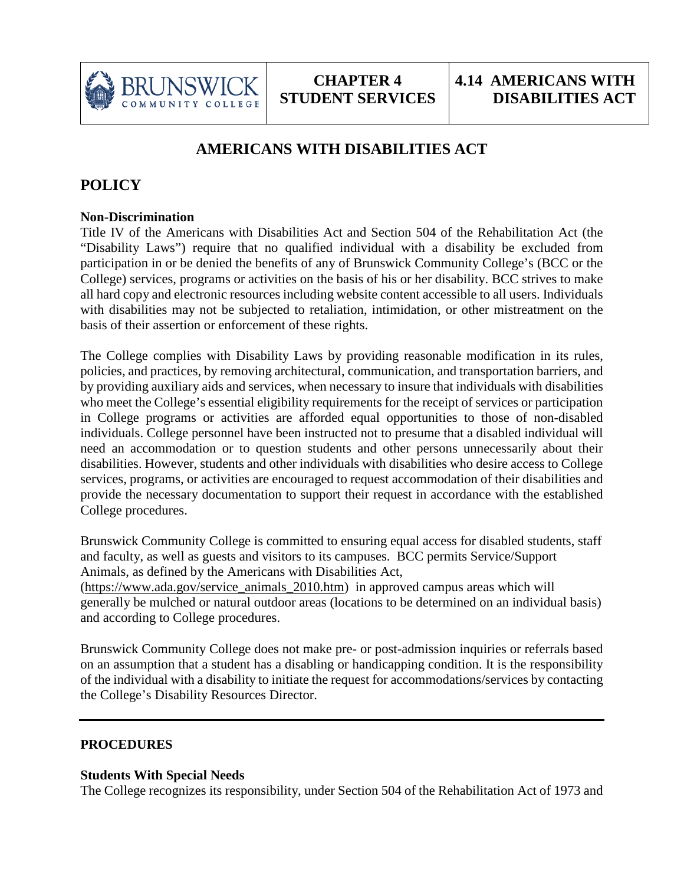

# **AMERICANS WITH DISABILITIES ACT**

## **POLICY**

#### **Non-Discrimination**

Title IV of the Americans with Disabilities Act and Section 504 of the Rehabilitation Act (the "Disability Laws") require that no qualified individual with a disability be excluded from participation in or be denied the benefits of any of Brunswick Community College's (BCC or the College) services, programs or activities on the basis of his or her disability. BCC strives to make all hard copy and electronic resources including website content accessible to all users. Individuals with disabilities may not be subjected to retaliation, intimidation, or other mistreatment on the basis of their assertion or enforcement of these rights.

The College complies with Disability Laws by providing reasonable modification in its rules, policies, and practices, by removing architectural, communication, and transportation barriers, and by providing auxiliary aids and services, when necessary to insure that individuals with disabilities who meet the College's essential eligibility requirements for the receipt of services or participation in College programs or activities are afforded equal opportunities to those of non-disabled individuals. College personnel have been instructed not to presume that a disabled individual will need an accommodation or to question students and other persons unnecessarily about their disabilities. However, students and other individuals with disabilities who desire access to College services, programs, or activities are encouraged to request accommodation of their disabilities and provide the necessary documentation to support their request in accordance with the established College procedures.

Brunswick Community College is committed to ensuring equal access for disabled students, staff and faculty, as well as guests and visitors to its campuses. BCC permits Service/Support Animals, as defined by the Americans with Disabilities Act,

[\(https://www.ada.gov/service\\_animals\\_2010.htm\)](https://www.ada.gov/service_animals_2010.htm) in approved campus areas which will generally be mulched or natural outdoor areas (locations to be determined on an individual basis) and according to College procedures.

Brunswick Community College does not make pre- or post-admission inquiries or referrals based on an assumption that a student has a disabling or handicapping condition. It is the responsibility of the individual with a disability to initiate the request for accommodations/services by contacting the College's Disability Resources Director.

#### **PROCEDURES**

#### **Students With Special Needs**

The College recognizes its responsibility, under Section 504 of the Rehabilitation Act of 1973 and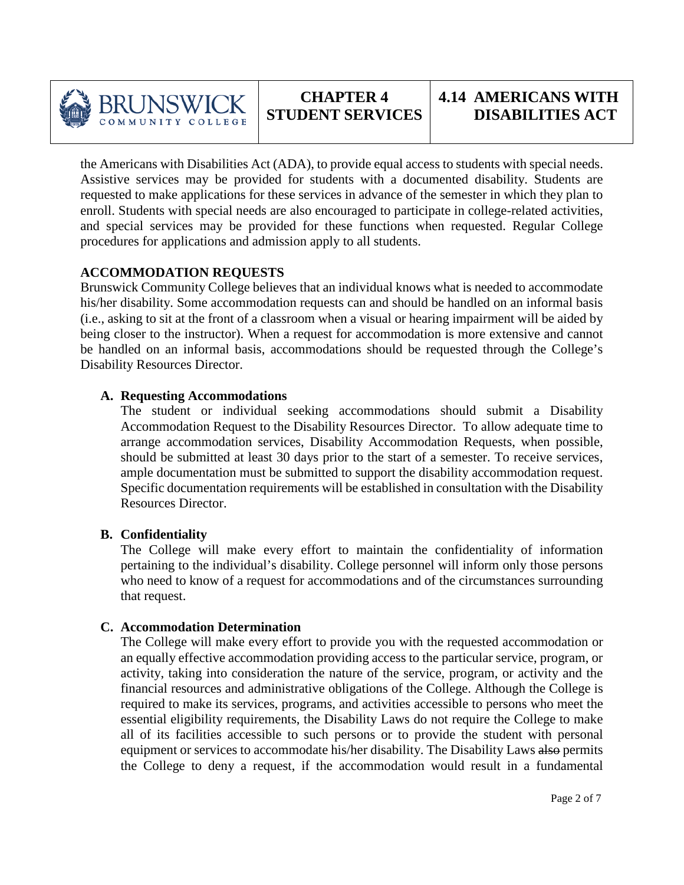

the Americans with Disabilities Act (ADA), to provide equal access to students with special needs. Assistive services may be provided for students with a documented disability. Students are requested to make applications for these services in advance of the semester in which they plan to enroll. Students with special needs are also encouraged to participate in college-related activities, and special services may be provided for these functions when requested. Regular College procedures for applications and admission apply to all students.

### **ACCOMMODATION REQUESTS**

Brunswick Community College believes that an individual knows what is needed to accommodate his/her disability. Some accommodation requests can and should be handled on an informal basis (i.e., asking to sit at the front of a classroom when a visual or hearing impairment will be aided by being closer to the instructor). When a request for accommodation is more extensive and cannot be handled on an informal basis, accommodations should be requested through the College's Disability Resources Director.

#### **A. Requesting Accommodations**

The student or individual seeking accommodations should submit a Disability Accommodation Request to the Disability Resources Director. To allow adequate time to arrange accommodation services, Disability Accommodation Requests, when possible, should be submitted at least 30 days prior to the start of a semester. To receive services, ample documentation must be submitted to support the disability accommodation request. Specific documentation requirements will be established in consultation with the Disability Resources Director.

## **B. Confidentiality**

The College will make every effort to maintain the confidentiality of information pertaining to the individual's disability. College personnel will inform only those persons who need to know of a request for accommodations and of the circumstances surrounding that request.

#### **C. Accommodation Determination**

The College will make every effort to provide you with the requested accommodation or an equally effective accommodation providing access to the particular service, program, or activity, taking into consideration the nature of the service, program, or activity and the financial resources and administrative obligations of the College. Although the College is required to make its services, programs, and activities accessible to persons who meet the essential eligibility requirements, the Disability Laws do not require the College to make all of its facilities accessible to such persons or to provide the student with personal equipment or services to accommodate his/her disability. The Disability Laws also permits the College to deny a request, if the accommodation would result in a fundamental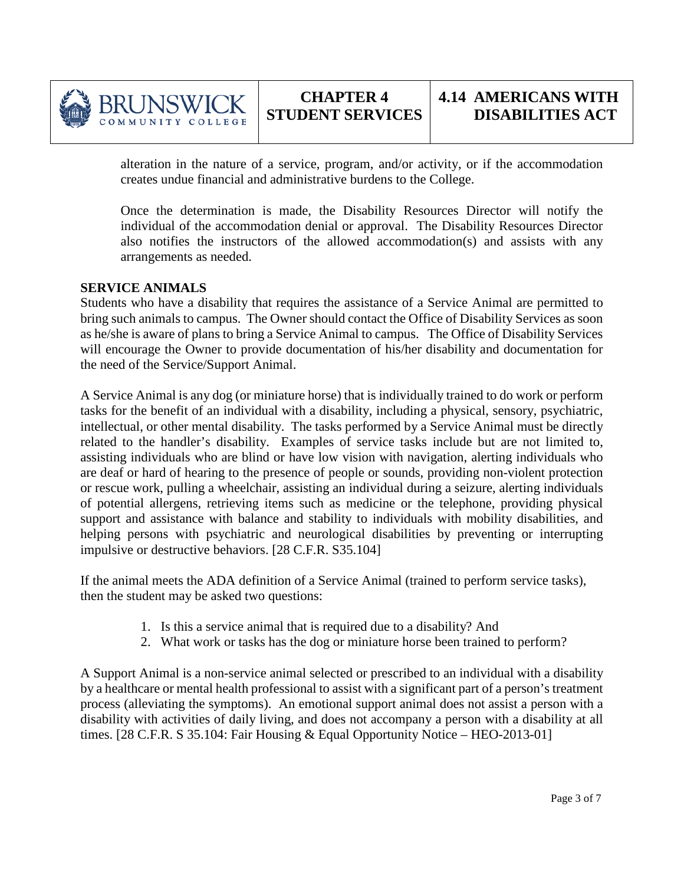

alteration in the nature of a service, program, and/or activity, or if the accommodation creates undue financial and administrative burdens to the College.

Once the determination is made, the Disability Resources Director will notify the individual of the accommodation denial or approval. The Disability Resources Director also notifies the instructors of the allowed accommodation(s) and assists with any arrangements as needed.

#### **SERVICE ANIMALS**

BRUNSWI

COMMUNITY COLLEGE

Students who have a disability that requires the assistance of a Service Animal are permitted to bring such animals to campus. The Owner should contact the Office of Disability Services as soon as he/she is aware of plans to bring a Service Animal to campus. The Office of Disability Services will encourage the Owner to provide documentation of his/her disability and documentation for the need of the Service/Support Animal.

A Service Animal is any dog (or miniature horse) that is individually trained to do work or perform tasks for the benefit of an individual with a disability, including a physical, sensory, psychiatric, intellectual, or other mental disability. The tasks performed by a Service Animal must be directly related to the handler's disability. Examples of service tasks include but are not limited to, assisting individuals who are blind or have low vision with navigation, alerting individuals who are deaf or hard of hearing to the presence of people or sounds, providing non-violent protection or rescue work, pulling a wheelchair, assisting an individual during a seizure, alerting individuals of potential allergens, retrieving items such as medicine or the telephone, providing physical support and assistance with balance and stability to individuals with mobility disabilities, and helping persons with psychiatric and neurological disabilities by preventing or interrupting impulsive or destructive behaviors. [28 C.F.R. S35.104]

If the animal meets the ADA definition of a Service Animal (trained to perform service tasks), then the student may be asked two questions:

- 1. Is this a service animal that is required due to a disability? And
- 2. What work or tasks has the dog or miniature horse been trained to perform?

A Support Animal is a non-service animal selected or prescribed to an individual with a disability by a healthcare or mental health professional to assist with a significant part of a person's treatment process (alleviating the symptoms). An emotional support animal does not assist a person with a disability with activities of daily living, and does not accompany a person with a disability at all times. [28 C.F.R. S 35.104: Fair Housing & Equal Opportunity Notice – HEO-2013-01]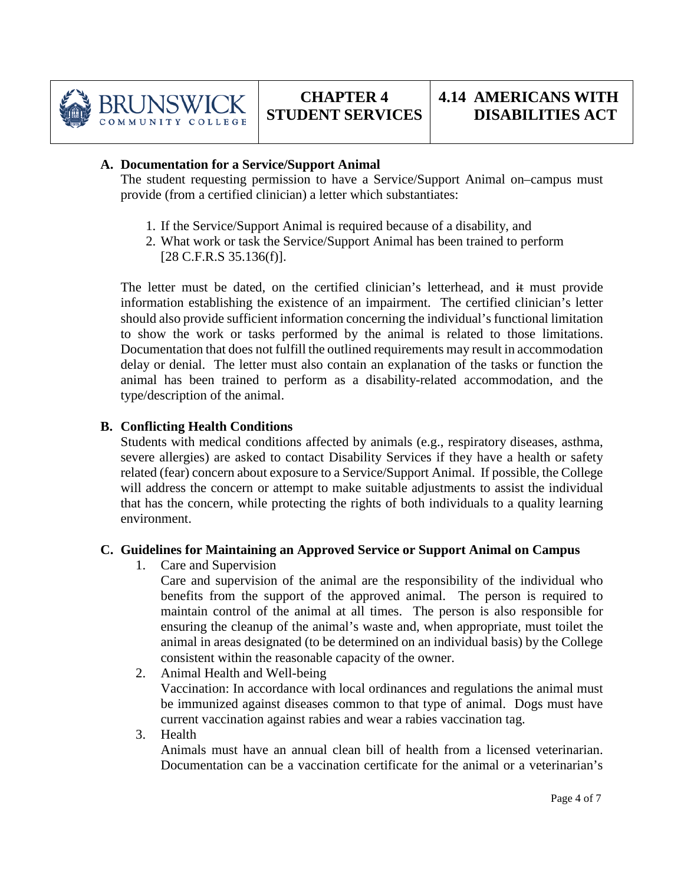

#### **A. Documentation for a Service/Support Animal**

The student requesting permission to have a Service/Support Animal on–campus must provide (from a certified clinician) a letter which substantiates:

- 1. If the Service/Support Animal is required because of a disability, and
- 2. What work or task the Service/Support Animal has been trained to perform  $[28 \text{ C.F.R.S } 35.136(f)].$

The letter must be dated, on the certified clinician's letterhead, and it must provide information establishing the existence of an impairment. The certified clinician's letter should also provide sufficient information concerning the individual's functional limitation to show the work or tasks performed by the animal is related to those limitations. Documentation that does not fulfill the outlined requirements may result in accommodation delay or denial. The letter must also contain an explanation of the tasks or function the animal has been trained to perform as a disability-related accommodation, and the type/description of the animal.

### **B. Conflicting Health Conditions**

Students with medical conditions affected by animals (e.g., respiratory diseases, asthma, severe allergies) are asked to contact Disability Services if they have a health or safety related (fear) concern about exposure to a Service/Support Animal. If possible, the College will address the concern or attempt to make suitable adjustments to assist the individual that has the concern, while protecting the rights of both individuals to a quality learning environment.

## **C. Guidelines for Maintaining an Approved Service or Support Animal on Campus**

1. Care and Supervision

Care and supervision of the animal are the responsibility of the individual who benefits from the support of the approved animal. The person is required to maintain control of the animal at all times. The person is also responsible for ensuring the cleanup of the animal's waste and, when appropriate, must toilet the animal in areas designated (to be determined on an individual basis) by the College consistent within the reasonable capacity of the owner.

- 2. Animal Health and Well-being Vaccination: In accordance with local ordinances and regulations the animal must be immunized against diseases common to that type of animal. Dogs must have current vaccination against rabies and wear a rabies vaccination tag.
- 3. Health

Animals must have an annual clean bill of health from a licensed veterinarian. Documentation can be a vaccination certificate for the animal or a veterinarian's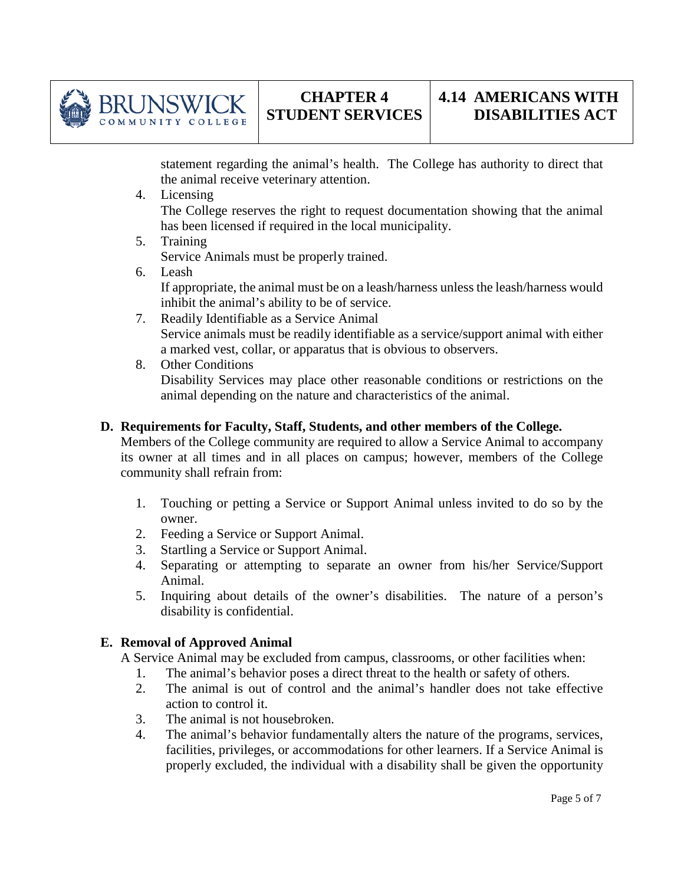

statement regarding the animal's health. The College has authority to direct that the animal receive veterinary attention.

- 4. Licensing The College reserves the right to request documentation showing that the animal has been licensed if required in the local municipality.
- 5. Training Service Animals must be properly trained.
- 6. Leash

BRUNSWI COMMUNITY COLLEGE

> If appropriate, the animal must be on a leash/harness unless the leash/harness would inhibit the animal's ability to be of service.

- 7. Readily Identifiable as a Service Animal Service animals must be readily identifiable as a service/support animal with either a marked vest, collar, or apparatus that is obvious to observers.
- 8. Other Conditions Disability Services may place other reasonable conditions or restrictions on the animal depending on the nature and characteristics of the animal.

## **D. Requirements for Faculty, Staff, Students, and other members of the College.**

Members of the College community are required to allow a Service Animal to accompany its owner at all times and in all places on campus; however, members of the College community shall refrain from:

- 1. Touching or petting a Service or Support Animal unless invited to do so by the owner.
- 2. Feeding a Service or Support Animal.
- 3. Startling a Service or Support Animal.
- 4. Separating or attempting to separate an owner from his/her Service/Support Animal.
- 5. Inquiring about details of the owner's disabilities. The nature of a person's disability is confidential.

## **E. Removal of Approved Animal**

A Service Animal may be excluded from campus, classrooms, or other facilities when:

- 1. The animal's behavior poses a direct threat to the health or safety of others.
- 2. The animal is out of control and the animal's handler does not take effective action to control it.
- 3. The animal is not housebroken.
- 4. The animal's behavior fundamentally alters the nature of the programs, services, facilities, privileges, or accommodations for other learners. If a Service Animal is properly excluded, the individual with a disability shall be given the opportunity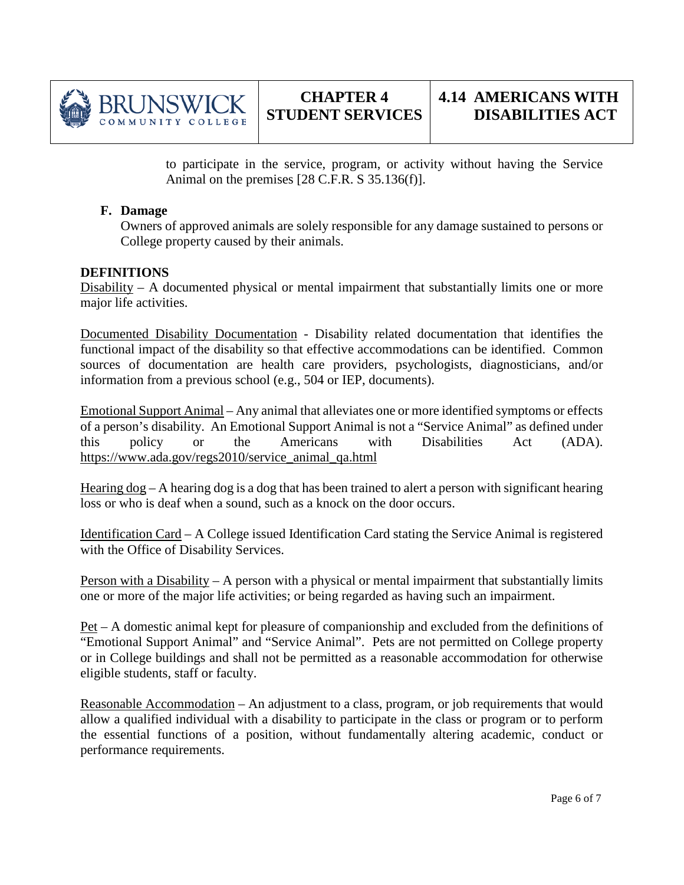

to participate in the service, program, or activity without having the Service Animal on the premises [28 C.F.R. S 35.136(f)].

#### **F. Damage**

Owners of approved animals are solely responsible for any damage sustained to persons or College property caused by their animals.

#### **DEFINITIONS**

Disability – A documented physical or mental impairment that substantially limits one or more major life activities.

Documented Disability Documentation - Disability related documentation that identifies the functional impact of the disability so that effective accommodations can be identified. Common sources of documentation are health care providers, psychologists, diagnosticians, and/or information from a previous school (e.g., 504 or IEP, documents).

Emotional Support Animal – Any animal that alleviates one or more identified symptoms or effects of a person's disability. An Emotional Support Animal is not a "Service Animal" as defined under this policy or the Americans with Disabilities Act (ADA). [https://www.ada.gov/regs2010/service\\_animal\\_qa.html](https://www.ada.gov/regs2010/service_animal_qa.html)

Hearing  $\log - A$  hearing dog is a dog that has been trained to alert a person with significant hearing loss or who is deaf when a sound, such as a knock on the door occurs.

Identification Card – A College issued Identification Card stating the Service Animal is registered with the Office of Disability Services.

Person with a Disability – A person with a physical or mental impairment that substantially limits one or more of the major life activities; or being regarded as having such an impairment.

Pet – A domestic animal kept for pleasure of companionship and excluded from the definitions of "Emotional Support Animal" and "Service Animal". Pets are not permitted on College property or in College buildings and shall not be permitted as a reasonable accommodation for otherwise eligible students, staff or faculty.

Reasonable Accommodation – An adjustment to a class, program, or job requirements that would allow a qualified individual with a disability to participate in the class or program or to perform the essential functions of a position, without fundamentally altering academic, conduct or performance requirements.